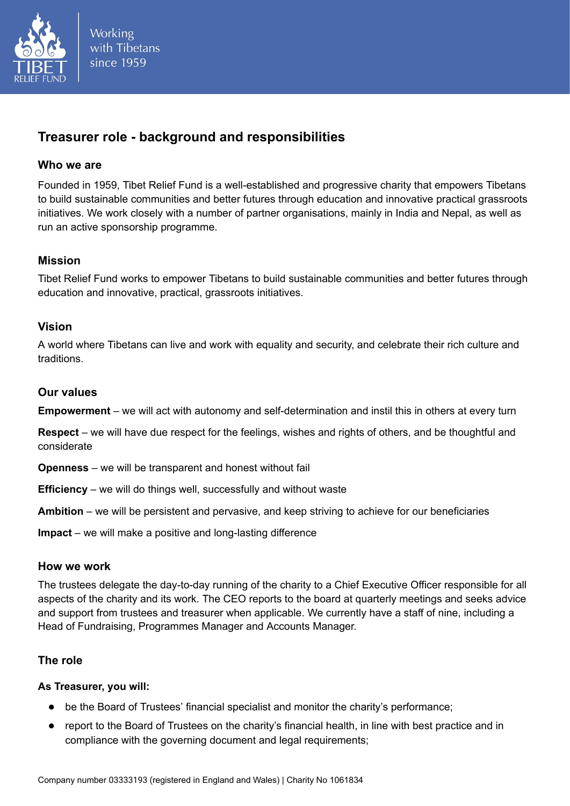

**Working** with Tibetans since 1959

# **Treasurer role - background and responsibilities**

# **Who we are**

Founded in 1959, Tibet Relief Fund is a well-established and progressive charity that empowers Tibetans to build sustainable communities and better futures through education and innovative practical grassroots initiatives. We work closely with a number of partner organisations, mainly in India and Nepal, as well as run an active sponsorship programme.

# **Mission**

Tibet Relief Fund works to empower Tibetans to build sustainable communities and better futures through education and innovative, practical, grassroots initiatives.

# **Vision**

A world where Tibetans can live and work with equality and security, and celebrate their rich culture and traditions.

# **Our values**

**Empowerment** – we will act with autonomy and self-determination and instil this in others at every turn

**Respect** – we will have due respect for the feelings, wishes and rights of others, and be thoughtful and considerate

**Openness** – we will be transparent and honest without fail

**Efficiency** – we will do things well, successfully and without waste

**Ambition** – we will be persistent and pervasive, and keep striving to achieve for our beneficiaries

**Impact** – we will make a positive and long-lasting difference

# **How we work**

The trustees delegate the day-to-day running of the charity to a Chief Executive Officer responsible for all aspects of the charity and its work. The CEO reports to the board at quarterly meetings and seeks advice and support from trustees and treasurer when applicable. We currently have a staff of nine, including a Head of Fundraising, Programmes Manager and Accounts Manager.

# **The role**

# **As Treasurer, you will:**

- be the Board of Trustees' financial specialist and monitor the charity's performance;
- report to the Board of Trustees on the charity's financial health, in line with best practice and in compliance with the governing document and legal requirements;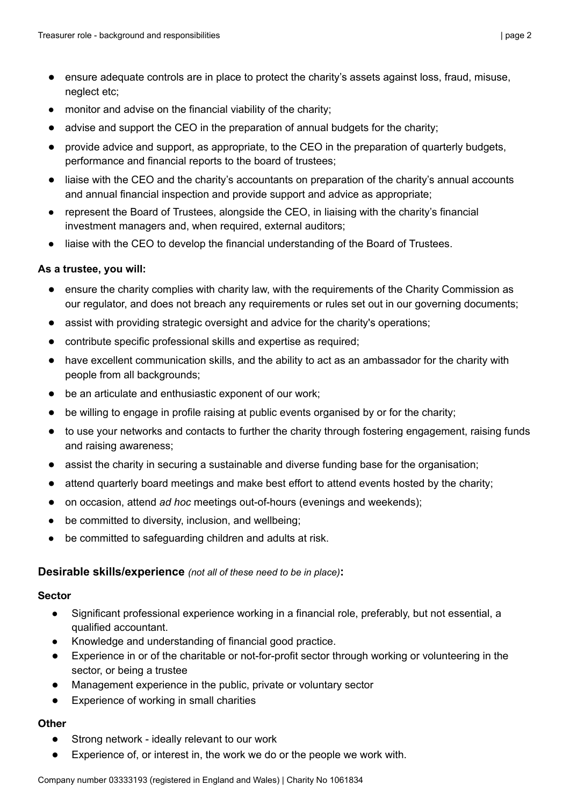- ensure adequate controls are in place to protect the charity's assets against loss, fraud, misuse, neglect etc;
- monitor and advise on the financial viability of the charity;
- advise and support the CEO in the preparation of annual budgets for the charity;
- provide advice and support, as appropriate, to the CEO in the preparation of quarterly budgets, performance and financial reports to the board of trustees;
- liaise with the CEO and the charity's accountants on preparation of the charity's annual accounts and annual financial inspection and provide support and advice as appropriate;
- represent the Board of Trustees, alongside the CEO, in liaising with the charity's financial investment managers and, when required, external auditors;
- liaise with the CEO to develop the financial understanding of the Board of Trustees.

### **As a trustee, you will:**

- ensure the charity complies with charity law, with the requirements of the Charity Commission as our regulator, and does not breach any requirements or rules set out in our governing documents;
- assist with providing strategic oversight and advice for the charity's operations;
- contribute specific professional skills and expertise as required;
- have excellent communication skills, and the ability to act as an ambassador for the charity with people from all backgrounds;
- be an articulate and enthusiastic exponent of our work;
- be willing to engage in profile raising at public events organised by or for the charity;
- to use your networks and contacts to further the charity through fostering engagement, raising funds and raising awareness;
- assist the charity in securing a sustainable and diverse funding base for the organisation;
- attend quarterly board meetings and make best effort to attend events hosted by the charity;
- on occasion, attend *ad hoc* meetings out-of-hours (evenings and weekends);
- be committed to diversity, inclusion, and wellbeing;
- be committed to safeguarding children and adults at risk.

#### **Desirable skills/experience** *(not all of these need to be in place)***:**

#### **Sector**

- Significant professional experience working in a financial role, preferably, but not essential, a qualified accountant.
- Knowledge and understanding of financial good practice.
- Experience in or of the charitable or not-for-profit sector through working or volunteering in the sector, or being a trustee
- Management experience in the public, private or voluntary sector
- Experience of working in small charities

#### **Other**

- Strong network ideally relevant to our work
- Experience of, or interest in, the work we do or the people we work with.